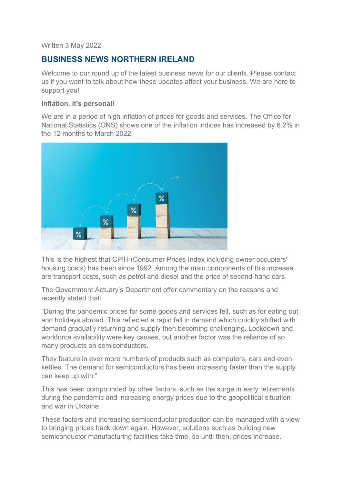#### Written 3 May 2022

# **BUSINESS NEWS NORTHERN IRELAND**

Welcome to our round up of the latest business news for our clients. Please contact us if you want to talk about how these updates affect your business. We are here to support you!

#### **Inflation, it's personal!**

We are in a period of high inflation of prices for goods and services. The Office for National Statistics (ONS) shows one of the inflation indices has increased by 6.2% in the 12 months to March 2022.



This is the highest that CPIH (Consumer Prices Index including owner occupiers' housing costs) has been since 1992. Among the main components of this increase are transport costs, such as petrol and diesel and the price of second-hand cars.

The Government Actuary's Department offer commentary on the reasons and recently stated that:

"During the pandemic prices for some goods and services fell, such as for eating out and holidays abroad. This reflected a rapid fall in demand which quickly shifted with demand gradually returning and supply then becoming challenging. Lockdown and workforce availability were key causes, but another factor was the reliance of so many products on semiconductors.

They feature in ever more numbers of products such as computers, cars and even kettles. The demand for semiconductors has been increasing faster than the supply can keep up with."

This has been compounded by other factors, such as the surge in early retirements during the pandemic and increasing energy prices due to the geopolitical situation and war in Ukraine.

These factors and increasing semiconductor production can be managed with a view to bringing prices back down again. However, solutions such as building new semiconductor manufacturing facilities take time, so until then, prices increase.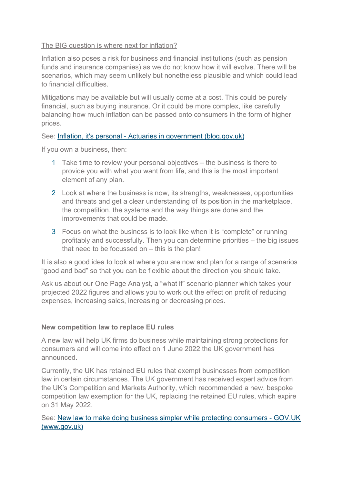### The BIG question is where next for inflation?

Inflation also poses a risk for business and financial institutions (such as pension funds and insurance companies) as we do not know how it will evolve. There will be scenarios, which may seem unlikely but nonetheless plausible and which could lead to financial difficulties.

Mitigations may be available but will usually come at a cost. This could be purely financial, such as buying insurance. Or it could be more complex, like carefully balancing how much inflation can be passed onto consumers in the form of higher prices.

### See: Inflation, it's personal - Actuaries in government (blog.gov.uk)

If you own a business, then:

- 1 Take time to review your personal objectives the business is there to provide you with what you want from life, and this is the most important element of any plan.
- 2 Look at where the business is now, its strengths, weaknesses, opportunities and threats and get a clear understanding of its position in the marketplace, the competition, the systems and the way things are done and the improvements that could be made.
- 3 Focus on what the business is to look like when it is "complete" or running profitably and successfully. Then you can determine priorities – the big issues that need to be focussed on – this is the plan!

It is also a good idea to look at where you are now and plan for a range of scenarios "good and bad" so that you can be flexible about the direction you should take.

Ask us about our One Page Analyst, a "what if" scenario planner which takes your projected 2022 figures and allows you to work out the effect on profit of reducing expenses, increasing sales, increasing or decreasing prices.

### **New competition law to replace EU rules**

A new law will help UK firms do business while maintaining strong protections for consumers and will come into effect on 1 June 2022 the UK government has announced.

Currently, the UK has retained EU rules that exempt businesses from competition law in certain circumstances. The UK government has received expert advice from the UK's Competition and Markets Authority, which recommended a new, bespoke competition law exemption for the UK, replacing the retained EU rules, which expire on 31 May 2022.

### See: New law to make doing business simpler while protecting consumers - GOV.UK (www.gov.uk)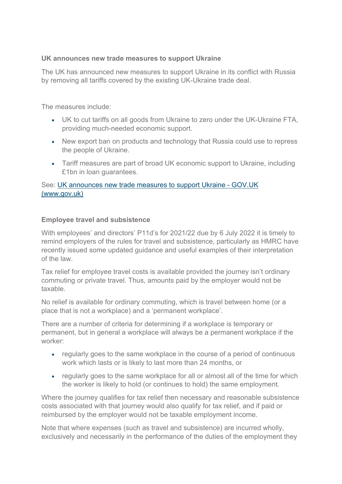### **UK announces new trade measures to support Ukraine**

The UK has announced new measures to support Ukraine in its conflict with Russia by removing all tariffs covered by the existing UK-Ukraine trade deal.

The measures include:

- UK to cut tariffs on all goods from Ukraine to zero under the UK-Ukraine FTA, providing much-needed economic support.
- New export ban on products and technology that Russia could use to repress the people of Ukraine.
- Tariff measures are part of broad UK economic support to Ukraine, including £1bn in loan guarantees.

### See: UK announces new trade measures to support Ukraine - GOV.UK (www.gov.uk)

### **Employee travel and subsistence**

With employees' and directors' P11d's for 2021/22 due by 6 July 2022 it is timely to remind employers of the rules for travel and subsistence, particularly as HMRC have recently issued some updated guidance and useful examples of their interpretation of the law.

Tax relief for employee travel costs is available provided the journey isn't ordinary commuting or private travel. Thus, amounts paid by the employer would not be taxable.

No relief is available for ordinary commuting, which is travel between home (or a place that is not a workplace) and a 'permanent workplace'.

There are a number of criteria for determining if a workplace is temporary or permanent, but in general a workplace will always be a permanent workplace if the worker:

- regularly goes to the same workplace in the course of a period of continuous work which lasts or is likely to last more than 24 months, or
- regularly goes to the same workplace for all or almost all of the time for which the worker is likely to hold (or continues to hold) the same employment.

Where the journey qualifies for tax relief then necessary and reasonable subsistence costs associated with that journey would also qualify for tax relief, and if paid or reimbursed by the employer would not be taxable employment income.

Note that where expenses (such as travel and subsistence) are incurred wholly, exclusively and necessarily in the performance of the duties of the employment they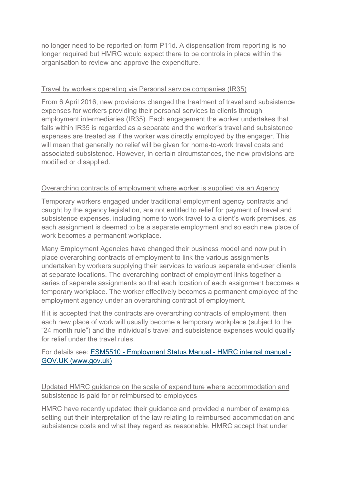no longer need to be reported on form P11d. A dispensation from reporting is no longer required but HMRC would expect there to be controls in place within the organisation to review and approve the expenditure.

### Travel by workers operating via Personal service companies (IR35)

From 6 April 2016, new provisions changed the treatment of travel and subsistence expenses for workers providing their personal services to clients through employment intermediaries (IR35). Each engagement the worker undertakes that falls within IR35 is regarded as a separate and the worker's travel and subsistence expenses are treated as if the worker was directly employed by the engager. This will mean that generally no relief will be given for home-to-work travel costs and associated subsistence. However, in certain circumstances, the new provisions are modified or disapplied.

### Overarching contracts of employment where worker is supplied via an Agency

Temporary workers engaged under traditional employment agency contracts and caught by the agency legislation, are not entitled to relief for payment of travel and subsistence expenses, including home to work travel to a client's work premises, as each assignment is deemed to be a separate employment and so each new place of work becomes a permanent workplace.

Many Employment Agencies have changed their business model and now put in place overarching contracts of employment to link the various assignments undertaken by workers supplying their services to various separate end-user clients at separate locations. The overarching contract of employment links together a series of separate assignments so that each location of each assignment becomes a temporary workplace. The worker effectively becomes a permanent employee of the employment agency under an overarching contract of employment.

If it is accepted that the contracts are overarching contracts of employment, then each new place of work will usually become a temporary workplace (subject to the "24 month rule") and the individual's travel and subsistence expenses would qualify for relief under the travel rules.

# For details see: ESM5510 - Employment Status Manual - HMRC internal manual - GOV.UK (www.gov.uk)

Updated HMRC guidance on the scale of expenditure where accommodation and subsistence is paid for or reimbursed to employees

HMRC have recently updated their guidance and provided a number of examples setting out their interpretation of the law relating to reimbursed accommodation and subsistence costs and what they regard as reasonable. HMRC accept that under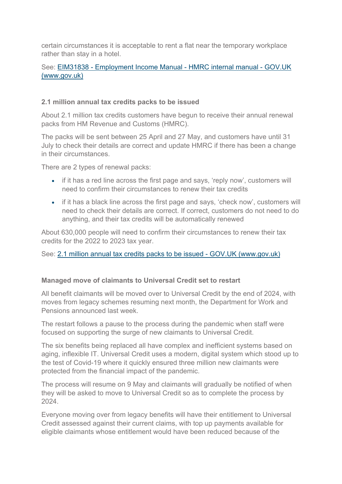certain circumstances it is acceptable to rent a flat near the temporary workplace rather than stay in a hotel.

# See: EIM31838 - Employment Income Manual - HMRC internal manual - GOV.UK (www.gov.uk)

### **2.1 million annual tax credits packs to be issued**

About 2.1 million tax credits customers have begun to receive their annual renewal packs from HM Revenue and Customs (HMRC).

The packs will be sent between 25 April and 27 May, and customers have until 31 July to check their details are correct and update HMRC if there has been a change in their circumstances.

There are 2 types of renewal packs:

- if it has a red line across the first page and says, 'reply now', customers will need to confirm their circumstances to renew their tax credits
- if it has a black line across the first page and says, 'check now', customers will need to check their details are correct. If correct, customers do not need to do anything, and their tax credits will be automatically renewed

About 630,000 people will need to confirm their circumstances to renew their tax credits for the 2022 to 2023 tax year.

### See: 2.1 million annual tax credits packs to be issued - GOV.UK (www.gov.uk)

#### **Managed move of claimants to Universal Credit set to restart**

All benefit claimants will be moved over to Universal Credit by the end of 2024, with moves from legacy schemes resuming next month, the Department for Work and Pensions announced last week.

The restart follows a pause to the process during the pandemic when staff were focused on supporting the surge of new claimants to Universal Credit.

The six benefits being replaced all have complex and inefficient systems based on aging, inflexible IT. Universal Credit uses a modern, digital system which stood up to the test of Covid-19 where it quickly ensured three million new claimants were protected from the financial impact of the pandemic.

The process will resume on 9 May and claimants will gradually be notified of when they will be asked to move to Universal Credit so as to complete the process by 2024.

Everyone moving over from legacy benefits will have their entitlement to Universal Credit assessed against their current claims, with top up payments available for eligible claimants whose entitlement would have been reduced because of the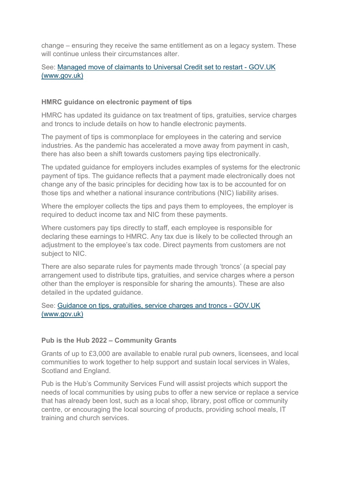change – ensuring they receive the same entitlement as on a legacy system. These will continue unless their circumstances alter.

# See: Managed move of claimants to Universal Credit set to restart - GOV.UK (www.gov.uk)

## **HMRC guidance on electronic payment of tips**

HMRC has updated its guidance on tax treatment of tips, gratuities, service charges and troncs to include details on how to handle electronic payments.

The payment of tips is commonplace for employees in the catering and service industries. As the pandemic has accelerated a move away from payment in cash, there has also been a shift towards customers paying tips electronically.

The updated guidance for employers includes examples of systems for the electronic payment of tips. The guidance reflects that a payment made electronically does not change any of the basic principles for deciding how tax is to be accounted for on those tips and whether a national insurance contributions (NIC) liability arises.

Where the employer collects the tips and pays them to employees, the employer is required to deduct income tax and NIC from these payments.

Where customers pay tips directly to staff, each employee is responsible for declaring these earnings to HMRC. Any tax due is likely to be collected through an adjustment to the employee's tax code. Direct payments from customers are not subject to NIC.

There are also separate rules for payments made through 'troncs' (a special pay arrangement used to distribute tips, gratuities, and service charges where a person other than the employer is responsible for sharing the amounts). These are also detailed in the updated guidance.

# See: Guidance on tips, gratuities, service charges and troncs - GOV.UK (www.gov.uk)

### **Pub is the Hub 2022 – Community Grants**

Grants of up to £3,000 are available to enable rural pub owners, licensees, and local communities to work together to help support and sustain local services in Wales, Scotland and England.

Pub is the Hub's Community Services Fund will assist projects which support the needs of local communities by using pubs to offer a new service or replace a service that has already been lost, such as a local shop, library, post office or community centre, or encouraging the local sourcing of products, providing school meals, IT training and church services.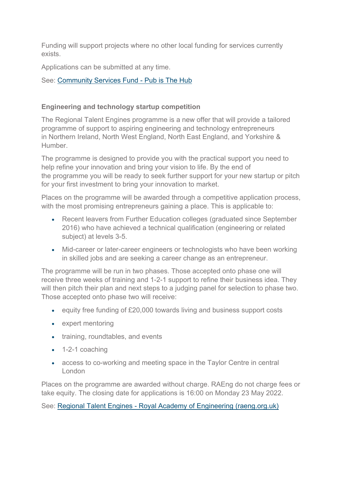Funding will support projects where no other local funding for services currently exists.

Applications can be submitted at any time.

See: Community Services Fund - Pub is The Hub

## **Engineering and technology startup competition**

The Regional Talent Engines programme is a new offer that will provide a tailored programme of support to aspiring engineering and technology entrepreneurs in Northern Ireland, North West England, North East England, and Yorkshire & Humber.

The programme is designed to provide you with the practical support you need to help refine your innovation and bring your vision to life. By the end of the programme you will be ready to seek further support for your new startup or pitch for your first investment to bring your innovation to market.

Places on the programme will be awarded through a competitive application process, with the most promising entrepreneurs gaining a place. This is applicable to:

- Recent leavers from Further Education colleges (graduated since September 2016) who have achieved a technical qualification (engineering or related subject) at levels 3-5.
- Mid-career or later-career engineers or technologists who have been working in skilled jobs and are seeking a career change as an entrepreneur.

The programme will be run in two phases. Those accepted onto phase one will receive three weeks of training and 1-2-1 support to refine their business idea. They will then pitch their plan and next steps to a judging panel for selection to phase two. Those accepted onto phase two will receive:

- equity free funding of £20,000 towards living and business support costs
- expert mentoring
- training, roundtables, and events
- 1-2-1 coaching
- access to co-working and meeting space in the Taylor Centre in central London

Places on the programme are awarded without charge. RAEng do not charge fees or take equity. The closing date for applications is 16:00 on Monday 23 May 2022.

See: Regional Talent Engines - Royal Academy of Engineering (raeng.org.uk)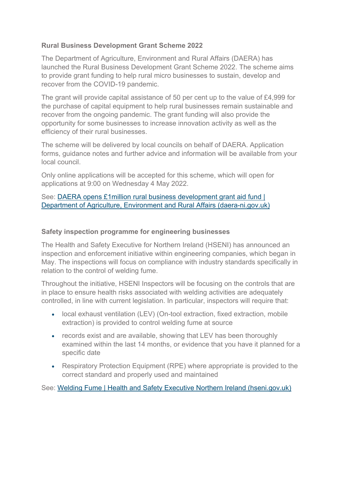# **Rural Business Development Grant Scheme 2022**

The Department of Agriculture, Environment and Rural Affairs (DAERA) has launched the Rural Business Development Grant Scheme 2022. The scheme aims to provide grant funding to help rural micro businesses to sustain, develop and recover from the COVID-19 pandemic.

The grant will provide capital assistance of 50 per cent up to the value of £4,999 for the purchase of capital equipment to help rural businesses remain sustainable and recover from the ongoing pandemic. The grant funding will also provide the opportunity for some businesses to increase innovation activity as well as the efficiency of their rural businesses.

The scheme will be delivered by local councils on behalf of DAERA. Application forms, guidance notes and further advice and information will be available from your local council.

Only online applications will be accepted for this scheme, which will open for applications at 9:00 on Wednesday 4 May 2022.

See: DAERA opens £1million rural business development grant aid fund | Department of Agriculture, Environment and Rural Affairs (daera-ni.gov.uk)

### **Safety inspection programme for engineering businesses**

The Health and Safety Executive for Northern Ireland (HSENI) has announced an inspection and enforcement initiative within engineering companies, which began in May. The inspections will focus on compliance with industry standards specifically in relation to the control of welding fume.

Throughout the initiative, HSENI Inspectors will be focusing on the controls that are in place to ensure health risks associated with welding activities are adequately controlled, in line with current legislation. In particular, inspectors will require that:

- local exhaust ventilation (LEV) (On-tool extraction, fixed extraction, mobile extraction) is provided to control welding fume at source
- records exist and are available, showing that LEV has been thoroughly examined within the last 14 months, or evidence that you have it planned for a specific date
- Respiratory Protection Equipment (RPE) where appropriate is provided to the correct standard and properly used and maintained

See: Welding Fume | Health and Safety Executive Northern Ireland (hseni.gov.uk)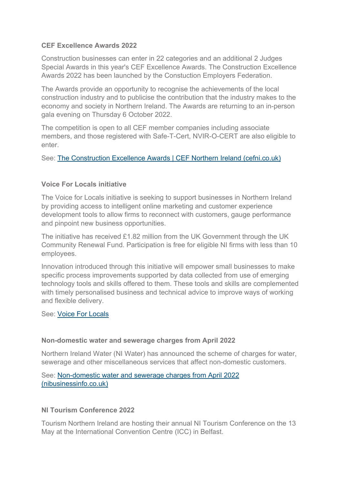### **CEF Excellence Awards 2022**

Construction businesses can enter in 22 categories and an additional 2 Judges Special Awards in this year's CEF Excellence Awards. The Construction Excellence Awards 2022 has been launched by the Constuction Employers Federation.

The Awards provide an opportunity to recognise the achievements of the local construction industry and to publicise the contribution that the industry makes to the economy and society in Northern Ireland. The Awards are returning to an in-person gala evening on Thursday 6 October 2022.

The competition is open to all CEF member companies including associate members, and those registered with Safe-T-Cert, NVIR-O-CERT are also eligible to enter.

See: The Construction Excellence Awards | CEF Northern Ireland (cefni.co.uk)

### **Voice For Locals initiative**

The Voice for Locals initiative is seeking to support businesses in Northern Ireland by providing access to intelligent online marketing and customer experience development tools to allow firms to reconnect with customers, gauge performance and pinpoint new business opportunities.

The initiative has received £1.82 million from the UK Government through the UK Community Renewal Fund. Participation is free for eligible NI firms with less than 10 employees.

Innovation introduced through this initiative will empower small businesses to make specific process improvements supported by data collected from use of emerging technology tools and skills offered to them. These tools and skills are complemented with timely personalised business and technical advice to improve ways of working and flexible delivery.

See: Voice For Locals

#### **Non-domestic water and sewerage charges from April 2022**

Northern Ireland Water (NI Water) has announced the scheme of charges for water, sewerage and other miscellaneous services that affect non-domestic customers.

See: Non-domestic water and sewerage charges from April 2022 (nibusinessinfo.co.uk)

#### **NI Tourism Conference 2022**

Tourism Northern Ireland are hosting their annual NI Tourism Conference on the 13 May at the International Convention Centre (ICC) in Belfast.